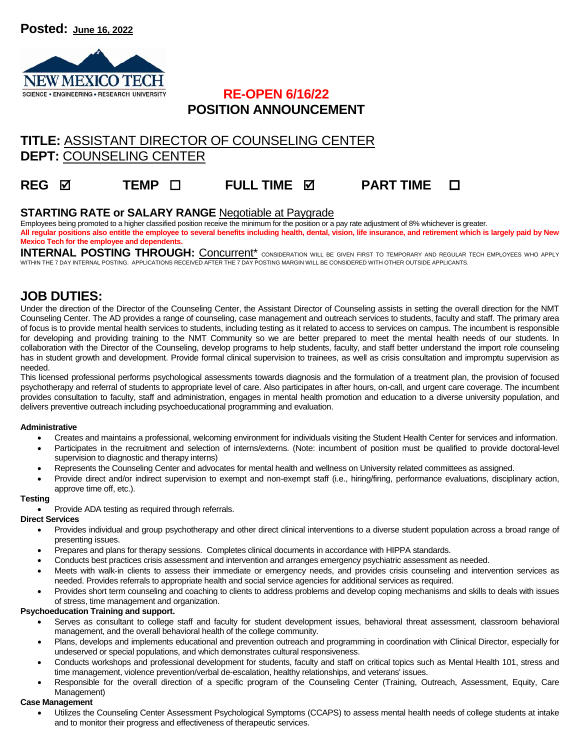

### **RE-OPEN 6/16/22 POSITION ANNOUNCEMENT**

# **TITLE:** ASSISTANT DIRECTOR OF COUNSELING CENTER **DEPT:** COUNSELING CENTER

# **REG ☑ TEMP □ FULL TIME Ø PART TIME □**

### **STARTING RATE or SALARY RANGE** Negotiable at Paygrade

Employees being promoted to a higher classified position receive the minimum for the position or a pay rate adjustment of 8% whichever is greater.

**All regular positions also entitle the employee to several benefits including health, dental, vision, life insurance, and retirement which is largely paid by New Mexico Tech for the employee and dependents.** 

INTERNAL POSTING THROUGH: <u>Concurrent<sup>\*</sup> consideration will be given first to temporary and regular tech employees who apply</u> WITHIN THE 7 DAY INTERNAL POSTING. APPLICATIONS RECEIVED AFTER THE 7 DAY POSTING MARGIN WILL BE CONSIDERED WITH OTHER OUTSIDE APPLICANTS.

## **JOB DUTIES:**

Under the direction of the Director of the Counseling Center, the Assistant Director of Counseling assists in setting the overall direction for the NMT Counseling Center. The AD provides a range of counseling, case management and outreach services to students, faculty and staff. The primary area of focus is to provide mental health services to students, including testing as it related to access to services on campus. The incumbent is responsible for developing and providing training to the NMT Community so we are better prepared to meet the mental health needs of our students. In collaboration with the Director of the Counseling, develop programs to help students, faculty, and staff better understand the import role counseling has in student growth and development. Provide formal clinical supervision to trainees, as well as crisis consultation and impromptu supervision as needed.

This licensed professional performs psychological assessments towards diagnosis and the formulation of a treatment plan, the provision of focused psychotherapy and referral of students to appropriate level of care. Also participates in after hours, on-call, and urgent care coverage. The incumbent provides consultation to faculty, staff and administration, engages in mental health promotion and education to a diverse university population, and delivers preventive outreach including psychoeducational programming and evaluation.

#### **Administrative**

- Creates and maintains a professional, welcoming environment for individuals visiting the Student Health Center for services and information.
- Participates in the recruitment and selection of interns/externs. (Note: incumbent of position must be qualified to provide doctoral-level supervision to diagnostic and therapy interns)
- Represents the Counseling Center and advocates for mental health and wellness on University related committees as assigned.
- Provide direct and/or indirect supervision to exempt and non-exempt staff (i.e., hiring/firing, performance evaluations, disciplinary action, approve time off, etc.).

#### **Testing**

Provide ADA testing as required through referrals.

#### **Direct Services**

- Provides individual and group psychotherapy and other direct clinical interventions to a diverse student population across a broad range of presenting issues.
- Prepares and plans for therapy sessions. Completes clinical documents in accordance with HIPPA standards.
- Conducts best practices crisis assessment and intervention and arranges emergency psychiatric assessment as needed.
- Meets with walk-in clients to assess their immediate or emergency needs, and provides crisis counseling and intervention services as needed. Provides referrals to appropriate health and social service agencies for additional services as required.
- Provides short term counseling and coaching to clients to address problems and develop coping mechanisms and skills to deals with issues of stress, time management and organization.

#### **Psychoeducation Training and support.**

- Serves as consultant to college staff and faculty for student development issues, behavioral threat assessment, classroom behavioral management, and the overall behavioral health of the college community.
- Plans, develops and implements educational and prevention outreach and programming in coordination with Clinical Director, especially for undeserved or special populations, and which demonstrates cultural responsiveness.
- Conducts workshops and professional development for students, faculty and staff on critical topics such as Mental Health 101, stress and time management, violence prevention/verbal de-escalation, healthy relationships, and veterans' issues.
- Responsible for the overall direction of a specific program of the Counseling Center (Training, Outreach, Assessment, Equity, Care Management)

#### **Case Management**

 Utilizes the Counseling Center Assessment Psychological Symptoms (CCAPS) to assess mental health needs of college students at intake and to monitor their progress and effectiveness of therapeutic services.